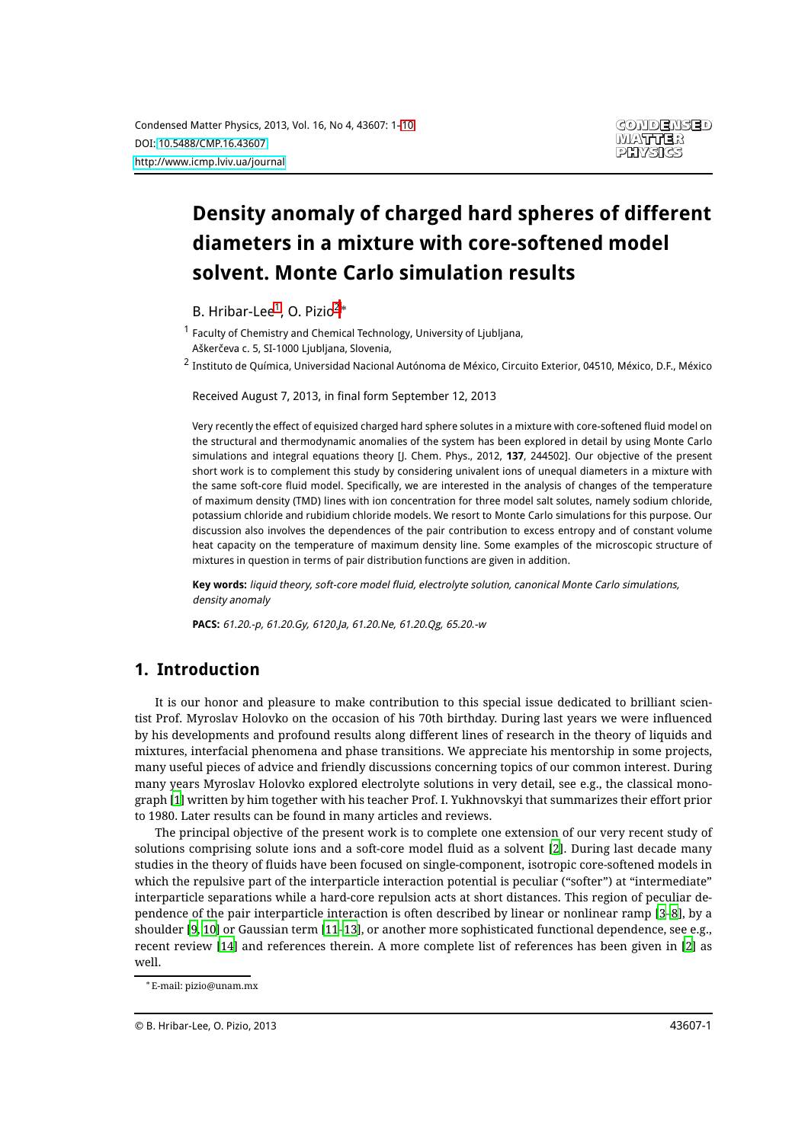# **Density anomaly of charged hard spheres of different diameters in a mixture with core-softened model solvent. Monte Carlo simulation results**

<span id="page-0-0"></span>B. Hribar-Lee<sup>[1](#page-0-0)</sup>, O. Pizio<sup>[2](#page-0-1)\*</sup>

<sup>1</sup> Faculty of Chemistry and Chemical Technology, University of Ljubljana, Aškerčeva c. 5, SI-1000 Ljubljana, Slovenia,

<span id="page-0-1"></span><sup>2</sup> Instituto de Química, Universidad Nacional Autónoma de México, Circuito Exterior, 04510, México, D.F., México

Received August 7, 2013, in final form September 12, 2013

Very recently the effect of equisized charged hard sphere solutes in a mixture with core-softened fluid model on the structural and thermodynamic anomalies of the system has been explored in detail by using Monte Carlo simulations and integral equations theory [J. Chem. Phys., 2012, **137**, 244502]. Our objective of the present short work is to complement this study by considering univalent ions of unequal diameters in a mixture with the same soft-core fluid model. Specifically, we are interested in the analysis of changes of the temperature of maximum density (TMD) lines with ion concentration for three model salt solutes, namely sodium chloride, potassium chloride and rubidium chloride models. We resort to Monte Carlo simulations for this purpose. Our discussion also involves the dependences of the pair contribution to excess entropy and of constant volume heat capacity on the temperature of maximum density line. Some examples of the microscopic structure of mixtures in question in terms of pair distribution functions are given in addition.

**Key words:** liquid theory, soft-core model fluid, electrolyte solution, canonical Monte Carlo simulations, density anomaly

**PACS:** 61.20.-p, 61.20.Gy, 6120.Ja, 61.20.Ne, 61.20.Qg, 65.20.-w

# **1. Introduction**

It is our honor and pleasure to make contribution to this special issue dedicated to brilliant scientist Prof. Myroslav Holovko on the occasion of his 70th birthday. During last years we were influenced by his developments and profound results along different lines of research in the theory of liquids and mixtures, interfacial phenomena and phase transitions. We appreciate his mentorship in some projects, many useful pieces of advice and friendly discussions concerning topics of our common interest. During many years Myroslav Holovko explored electrolyte solutions in very detail, see e.g., the classical monograph [\[1\]](#page-7-0) written by him together with his teacher Prof. I. Yukhnovskyi that summarizes their effort prior to 1980. Later results can be found in many articles and reviews.

The principal objective of the present work is to complete one extension of our very recent study of solutions comprising solute ions and a soft-core model fluid as a solvent [\[2\]](#page-7-1). During last decade many studies in the theory of fluids have been focused on single-component, isotropic core-softened models in which the repulsive part of the interparticle interaction potential is peculiar ("softer") at "intermediate" interparticle separations while a hard-core repulsion acts at short distances. This region of peculiar dependence of the pair interparticle interaction is often described by linear or nonlinear ramp [\[3](#page-7-2)–[8](#page-7-3)], by a shoulder [\[9](#page-7-4), [10](#page-7-5)] or Gaussian term [\[11](#page-7-6)–[13\]](#page-7-7), or another more sophisticated functional dependence, see e.g., recent review [\[14](#page-8-0)] and references therein. A more complete list of references has been given in [\[2\]](#page-7-1) as well.

<sup>¤</sup> E-mail: pizio@unam.mx

<sup>©</sup> B. Hribar-Lee, O. Pizio, 2013 43607-1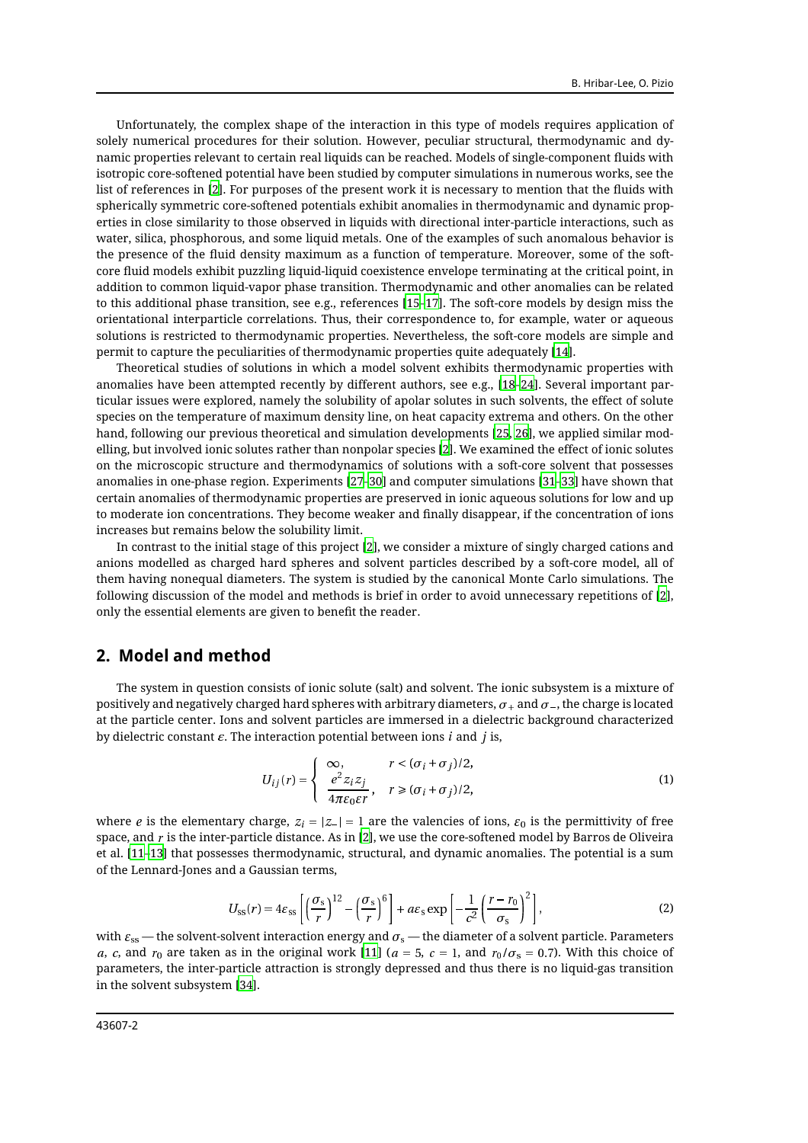Unfortunately, the complex shape of the interaction in this type of models requires application of solely numerical procedures for their solution. However, peculiar structural, thermodynamic and dynamic properties relevant to certain real liquids can be reached. Models of single-component fluids with isotropic core-softened potential have been studied by computer simulations in numerous works, see the list of references in [\[2](#page-7-1)]. For purposes of the present work it is necessary to mention that the fluids with spherically symmetric core-softened potentials exhibit anomalies in thermodynamic and dynamic properties in close similarity to those observed in liquids with directional inter-particle interactions, such as water, silica, phosphorous, and some liquid metals. One of the examples of such anomalous behavior is the presence of the fluid density maximum as a function of temperature. Moreover, some of the softcore fluid models exhibit puzzling liquid-liquid coexistence envelope terminating at the critical point, in addition to common liquid-vapor phase transition. Thermodynamic and other anomalies can be related to this additional phase transition, see e.g., references [\[15](#page-8-1)–[17\]](#page-8-2). The soft-core models by design miss the orientational interparticle correlations. Thus, their correspondence to, for example, water or aqueous solutions is restricted to thermodynamic properties. Nevertheless, the soft-core models are simple and permit to capture the peculiarities of thermodynamic properties quite adequately [\[14\]](#page-8-0).

Theoretical studies of solutions in which a model solvent exhibits thermodynamic properties with anomalies have been attempted recently by different authors, see e.g., [\[18](#page-8-3)–[24](#page-8-4)]. Several important particular issues were explored, namely the solubility of apolar solutes in such solvents, the effect of solute species on the temperature of maximum density line, on heat capacity extrema and others. On the other hand, following our previous theoretical and simulation developments [\[25,](#page-8-5) [26](#page-8-6)], we applied similar modelling, but involved ionic solutes rather than nonpolar species [\[2\]](#page-7-1). We examined the effect of ionic solutes on the microscopic structure and thermodynamics of solutions with a soft-core solvent that possesses anomalies in one-phase region. Experiments [\[27](#page-8-7)–[30\]](#page-8-8) and computer simulations [\[31](#page-8-9)–[33\]](#page-8-10) have shown that certain anomalies of thermodynamic properties are preserved in ionic aqueous solutions for low and up to moderate ion concentrations. They become weaker and finally disappear, if the concentration of ions increases but remains below the solubility limit.

In contrast to the initial stage of this project [\[2\]](#page-7-1), we consider a mixture of singly charged cations and anions modelled as charged hard spheres and solvent particles described by a soft-core model, all of them having nonequal diameters. The system is studied by the canonical Monte Carlo simulations. The following discussion of the model and methods is brief in order to avoid unnecessary repetitions of [\[2\]](#page-7-1), only the essential elements are given to benefit the reader.

#### **2. Model and method**

The system in question consists of ionic solute (salt) and solvent. The ionic subsystem is a mixture of positively and negatively charged hard spheres with arbitrary diameters,  $\sigma_{+}$  and  $\sigma_{-}$ , the charge is located at the particle center. Ions and solvent particles are immersed in a dielectric background characterized by dielectric constant  $\varepsilon$ . The interaction potential between ions i and j is,

$$
U_{ij}(r) = \begin{cases} \infty, & r < (\sigma_i + \sigma_j)/2, \\ \frac{e^2 z_i z_j}{4\pi \varepsilon_0 \varepsilon r}, & r \ge (\sigma_i + \sigma_j)/2, \end{cases}
$$
(1)

where *e* is the elementary charge,  $z_i = |z_-\| = 1$  are the valencies of ions,  $\varepsilon_0$  is the permittivity of free space, and  $r$  is the inter-particle distance. As in [\[2\]](#page-7-1), we use the core-softened model by Barros de Oliveira et al. [\[11](#page-7-6)–[13](#page-7-7)] that possesses thermodynamic, structural, and dynamic anomalies. The potential is a sum of the Lennard-Jones and a Gaussian terms,

$$
U_{\rm ss}(r) = 4\varepsilon_{\rm ss} \left[ \left( \frac{\sigma_{\rm s}}{r} \right)^{12} - \left( \frac{\sigma_{\rm s}}{r} \right)^{6} \right] + a\varepsilon_{\rm s} \exp \left[ -\frac{1}{c^{2}} \left( \frac{r - r_{0}}{\sigma_{\rm s}} \right)^{2} \right],
$$
 (2)

with  $\varepsilon_{\rm ss}$  — the solvent-solvent interaction energy and  $\sigma_{\rm s}$  — the diameter of a solvent particle. Parameters a, c, and  $r_0$  are taken as in the original work [\[11](#page-7-6)] ( $a = 5$ ,  $c = 1$ , and  $r_0/\sigma_s = 0.7$ ). With this choice of parameters, the inter-particle attraction is strongly depressed and thus there is no liquid-gas transition in the solvent subsystem [\[34\]](#page-8-11).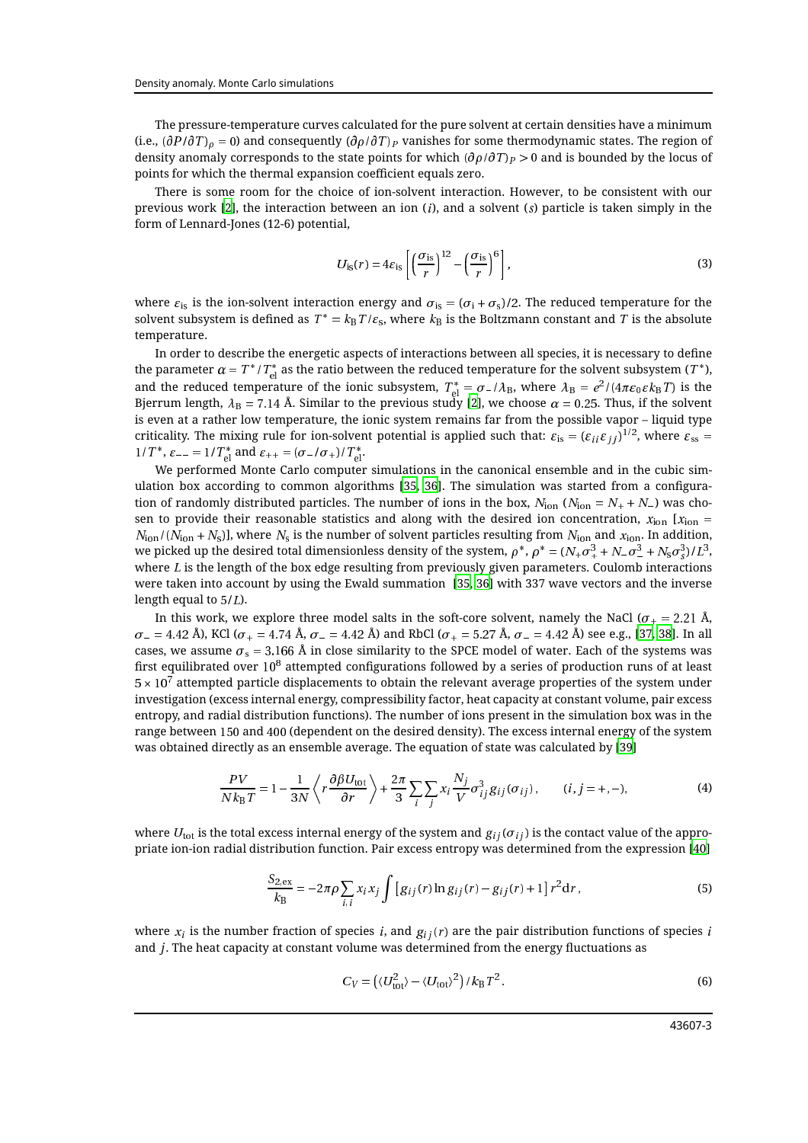The pressure-temperature curves calculated for the pure solvent at certain densities have a minimum (i.e.,  $(\partial P/\partial T)_\rho = 0$ ) and consequently  $(\partial \rho/\partial T)_P$  vanishes for some thermodynamic states. The region of density anomaly corresponds to the state points for which  $(\partial \rho / \partial T)_P > 0$  and is bounded by the locus of points for which the thermal expansion coefficient equals zero.

There is some room for the choice of ion-solvent interaction. However, to be consistent with our previous work [\[2\]](#page-7-1), the interaction between an ion  $(i)$ , and a solvent  $(s)$  particle is taken simply in the form of Lennard-Jones (12-6) potential,

$$
U_{\rm is}(r) = 4\varepsilon_{\rm is} \left[ \left( \frac{\sigma_{\rm is}}{r} \right)^{12} - \left( \frac{\sigma_{\rm is}}{r} \right)^6 \right],\tag{3}
$$

where  $\varepsilon_{is}$  is the ion-solvent interaction energy and  $\sigma_{is} = (\sigma_i + \sigma_s)/2$ . The reduced temperature for the solvent subsystem is defined as  $T^{*}=k_{\rm B}\,T/\varepsilon_{\rm s}$ , where  $k_{\rm B}$  is the Boltzmann constant and  $T$  is the absolute temperature.

In order to describe the energetic aspects of interactions between all species, it is necessary to define the parameter  $\alpha = T^*/T^*_{\rm el}$  as the ratio between the reduced temperature for the solvent subsystem (  $T^*$  ), and the reduced temperature of the ionic subsystem,  $T_{\rm el}^*=\sigma_-/\lambda_{\rm B},$  where  $\lambda_{\rm B}=e^2/(4\pi\varepsilon_0\varepsilon k_{\rm B}T)$  is the Bjerrum length,  $\lambda_B$  = 7.14 Å. Similar to the previous study [\[2\]](#page-7-1), we choose  $\alpha$  = 0.25. Thus, if the solvent is even at a rather low temperature, the ionic system remains far from the possible vapor – liquid type criticality. The mixing rule for ion-solvent potential is applied such that:  $\varepsilon_{\rm is} = (\varepsilon_{ii}\varepsilon_{ij})^{1/2}$ , where  $\varepsilon_{\rm ss} =$ 1/ T<sup>\*</sup>,  $\varepsilon_{--} = 1/T_{\text{el}}^*$  and  $\varepsilon_{++} = (\sigma_-/\sigma_+) / T_{\text{el}}^*$ .

We performed Monte Carlo computer simulations in the canonical ensemble and in the cubic simulation box according to common algorithms [\[35,](#page-8-12) [36](#page-8-13)]. The simulation was started from a configuration of randomly distributed particles. The number of ions in the box,  $N_{\text{ion}} (N_{\text{ion}} = N_+ + N_-)$  was chosen to provide their reasonable statistics and along with the desired ion concentration,  $x_{\text{ion}}$  [ $x_{\text{ion}}$  =  $N_{\rm ion}/(N_{\rm ion} + N_{\rm s})$ ], where  $N_{\rm s}$  is the number of solvent particles resulting from  $N_{\rm ion}$  and  $x_{\rm ion}$ . In addition, we picked up the desired total dimensionless density of the system,  $\rho^*,\rho^*=(N_+\sigma_+^3+N_-\sigma_-^3+N_{\rm s}\sigma_3^3)/L^3,$ where  $L$  is the length of the box edge resulting from previously given parameters. Coulomb interactions were taken into account by using the Ewald summation [\[35](#page-8-12), [36](#page-8-13)] with 337 wave vectors and the inverse length equal to  $5/L$ ).

In this work, we explore three model salts in the soft-core solvent, namely the NaCl ( $\sigma_{+} = 2.21$  Å,  $\sigma_{-} = 4.42$  Å), KCl ( $\sigma_{+} = 4.74$  Å,  $\sigma_{-} = 4.42$  Å) and RbCl ( $\sigma_{+} = 5.27$  Å,  $\sigma_{-} = 4.42$  Å) see e.g., [\[37](#page-8-14), [38\]](#page-8-15). In all cases, we assume  $\sigma_s = 3.166$  Å in close similarity to the SPCE model of water. Each of the systems was first equilibrated over  $10^8$  attempted configurations followed by a series of production runs of at least  $5 \times 10^{7}$  attempted particle displacements to obtain the relevant average properties of the system under investigation (excess internal energy, compressibility factor, heat capacity at constant volume, pair excess entropy, and radial distribution functions). The number of ions present in the simulation box was in the range between <sup>150</sup> and <sup>400</sup> (dependent on the desired density). The excess internal energy of the system was obtained directly as an ensemble average. The equation of state was calculated by [\[39\]](#page-8-16)

$$
\frac{PV}{Nk_{\text{B}}T} = 1 - \frac{1}{3N} \left\langle r \frac{\partial \beta U_{\text{tot}}}{\partial r} \right\rangle + \frac{2\pi}{3} \sum_{i} \sum_{j} x_{i} \frac{N_{j}}{V} \sigma_{ij}^{3} g_{ij}(\sigma_{ij}), \qquad (i, j = +, -), \tag{4}
$$

where  $U_{\text{tot}}$  is the total excess internal energy of the system and  $g_{ij}(\sigma_{ij})$  is the contact value of the appropriate ion-ion radial distribution function. Pair excess entropy was determined from the expression [\[40](#page-8-17)]

<span id="page-2-0"></span>
$$
\frac{S_{2,\text{ex}}}{k_{\text{B}}} = -2\pi\rho \sum_{i,i} x_i x_j \int \left[ g_{ij}(r) \ln g_{ij}(r) - g_{ij}(r) + 1 \right] r^2 dr, \tag{5}
$$

where  $x_i$  is the number fraction of species i, and  $g_{ij}(r)$  are the pair distribution functions of species i and  $j$ . The heat capacity at constant volume was determined from the energy fluctuations as

<span id="page-2-1"></span>
$$
C_V = \left(\langle U_{\text{tot}}^2 \rangle - \langle U_{\text{tot}} \rangle^2\right) / k_B T^2. \tag{6}
$$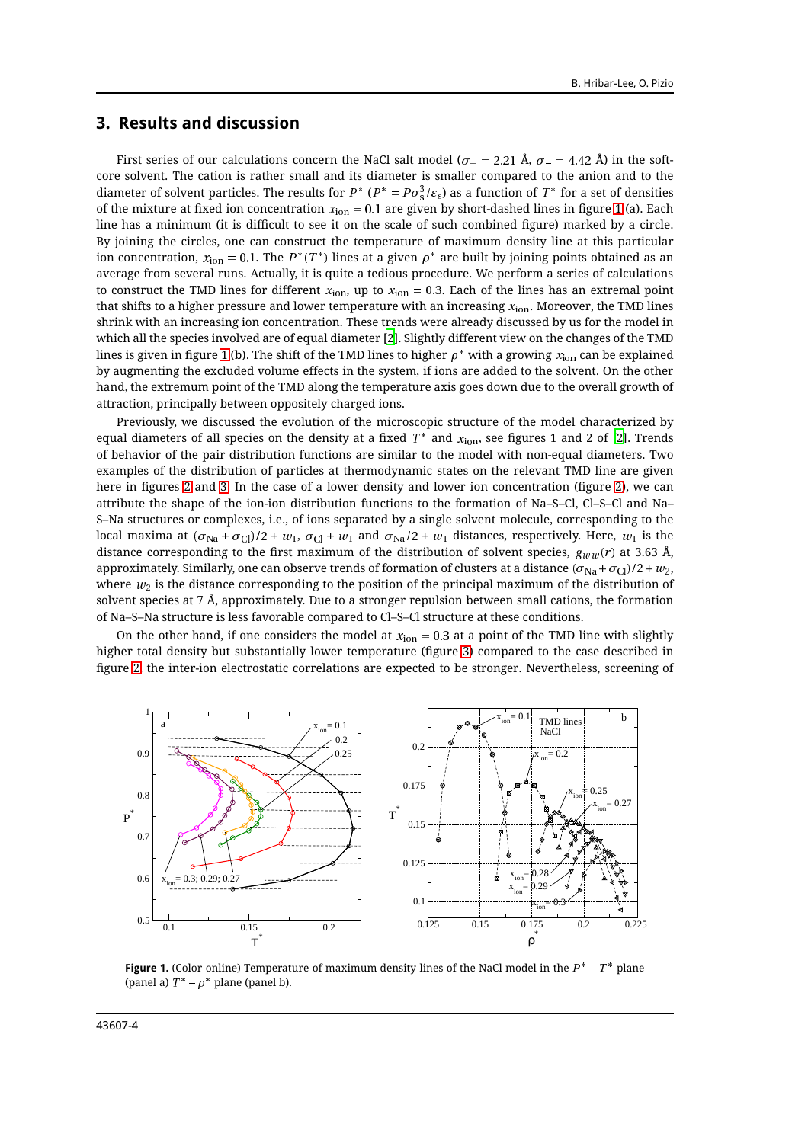#### **3. Results and discussion**

First series of our calculations concern the NaCl salt model ( $\sigma_{+} = 2.21$  Å,  $\sigma_{-} = 4.42$  Å) in the softcore solvent. The cation is rather small and its diameter is smaller compared to the anion and to the diameter of solvent particles. The results for  $P^*$  ( $P^*=P\sigma^3_{\rm s}/\varepsilon_{\rm s}$ ) as a function of  $T^*$  for a set of densities of the mixture at fixed ion concentration  $x_{ion} = 0.1$  are given by short-dashed lines in figure [1](#page-3-0) (a). Each line has a minimum (it is difficult to see it on the scale of such combined figure) marked by a circle. By joining the circles, one can construct the temperature of maximum density line at this particular ion concentration,  $x_{\rm ion} = 0.1.$  The  $P^*(T^*)$  lines at a given  $\rho^*$  are built by joining points obtained as an average from several runs. Actually, it is quite a tedious procedure. We perform a series of calculations to construct the TMD lines for different  $x<sub>ion</sub>$ , up to  $x<sub>ion</sub> = 0.3$ . Each of the lines has an extremal point that shifts to a higher pressure and lower temperature with an increasing  $x<sub>ion</sub>$ . Moreover, the TMD lines shrink with an increasing ion concentration. These trends were already discussed by us for the model in which all the species involved are of equal diameter [\[2](#page-7-1)]. Slightly different view on the changes of the TMD lines is given in figure [1](#page-3-0) (b). The shift of the TMD lines to higher  $\rho^*$  with a growing  $x_{\text{ion}}$  can be explained by augmenting the excluded volume effects in the system, if ions are added to the solvent. On the other hand, the extremum point of the TMD along the temperature axis goes down due to the overall growth of attraction, principally between oppositely charged ions.

Previously, we discussed the evolution of the microscopic structure of the model characterized by equal diameters of all species on the density at a fixed  $T^*$  and  $x_{\rm ion}$ , see figures 1 and 2 of [\[2\]](#page-7-1). Trends of behavior of the pair distribution functions are similar to the model with non-equal diameters. Two examples of the distribution of particles at thermodynamic states on the relevant TMD line are given here in figures [2](#page-4-0) and [3.](#page-4-1) In the case of a lower density and lower ion concentration (figure [2\)](#page-4-0), we can attribute the shape of the ion-ion distribution functions to the formation of Na–S–Cl, Cl–S–Cl and Na– S–Na structures or complexes, i.e., of ions separated by a single solvent molecule, corresponding to the local maxima at  $(\sigma_{\text{Na}} + \sigma_{\text{Cl}})/2 + w_1$ ,  $\sigma_{\text{Cl}} + w_1$  and  $\sigma_{\text{Na}}/2 + w_1$  distances, respectively. Here,  $w_1$  is the distance corresponding to the first maximum of the distribution of solvent species,  $g_{ww}(r)$  at 3.63 Å, approximately. Similarly, one can observe trends of formation of clusters at a distance  $(\sigma_{\text{Na}} + \sigma_{\text{Cl}})/2 + w_2$ , where  $w_2$  is the distance corresponding to the position of the principal maximum of the distribution of solvent species at 7 Å, approximately. Due to a stronger repulsion between small cations, the formation of Na–S–Na structure is less favorable compared to Cl–S–Cl structure at these conditions.

On the other hand, if one considers the model at  $x_{\text{ion}} = 0.3$  at a point of the TMD line with slightly higher total density but substantially lower temperature (figure [3\)](#page-4-1) compared to the case described in figure [2,](#page-4-0) the inter-ion electrostatic correlations are expected to be stronger. Nevertheless, screening of



<span id="page-3-0"></span>**Figure 1.** (Color online) Temperature of maximum density lines of the NaCl model in the  $P^*$  –  $T^*$  plane (panel a)  $T^* - \rho^*$  plane (panel b).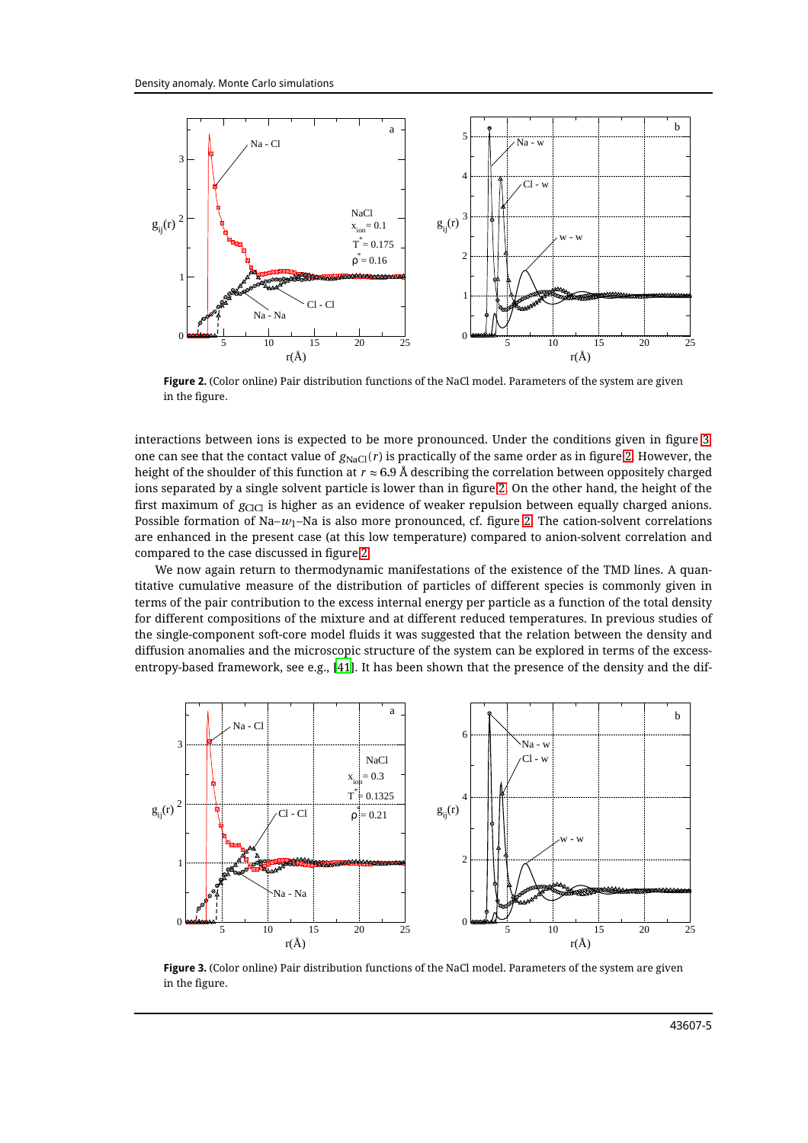

<span id="page-4-0"></span>**Figure 2.** (Color online) Pair distribution functions of the NaCl model. Parameters of the system are given in the figure.

interactions between ions is expected to be more pronounced. Under the conditions given in figure [3,](#page-4-1) one can see that the contact value of  $g_{\text{NaCl}}(r)$  is practically of the same order as in figure [2.](#page-4-0) However, the height of the shoulder of this function at  $r \approx 6.9$  Å describing the correlation between oppositely charged ions separated by a single solvent particle is lower than in figure [2.](#page-4-0) On the other hand, the height of the first maximum of  $g_{ClCl}$  is higher as an evidence of weaker repulsion between equally charged anions. Possible formation of  $Na-w_1$ –Na is also more pronounced, cf. figure [2.](#page-4-0) The cation-solvent correlations are enhanced in the present case (at this low temperature) compared to anion-solvent correlation and compared to the case discussed in figure [2.](#page-4-0)

We now again return to thermodynamic manifestations of the existence of the TMD lines. A quantitative cumulative measure of the distribution of particles of different species is commonly given in terms of the pair contribution to the excess internal energy per particle as a function of the total density for different compositions of the mixture and at different reduced temperatures. In previous studies of the single-component soft-core model fluids it was suggested that the relation between the density and diffusion anomalies and the microscopic structure of the system can be explored in terms of the excessentropy-based framework, see e.g., [\[41](#page-8-18)]. It has been shown that the presence of the density and the dif-



<span id="page-4-1"></span>**Figure 3.** (Color online) Pair distribution functions of the NaCl model. Parameters of the system are given in the figure.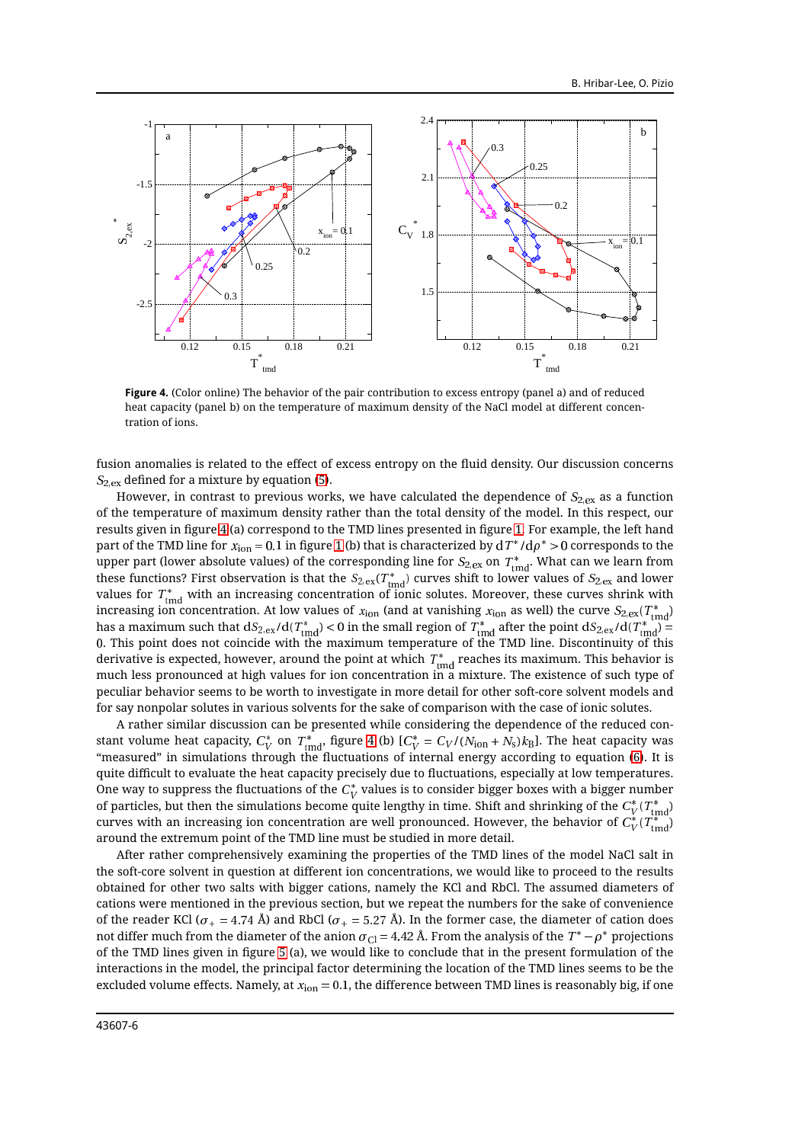

<span id="page-5-0"></span>**Figure 4.** (Color online) The behavior of the pair contribution to excess entropy (panel a) and of reduced heat capacity (panel b) on the temperature of maximum density of the NaCl model at different concentration of ions.

fusion anomalies is related to the effect of excess entropy on the fluid density. Our discussion concerns  $S_{2,ex}$  defined for a mixture by equation [\(5\)](#page-2-0).

However, in contrast to previous works, we have calculated the dependence of  $S_{2,ex}$  as a function of the temperature of maximum density rather than the total density of the model. In this respect, our results given in figure [4](#page-5-0) (a) correspond to the TMD lines presented in figure [1.](#page-3-0) For example, the left hand part of the TMD line for  $x_{\rm ion}$  = 0.1 in figure [1](#page-3-0) (b) that is characterized by d  $T^*/{\rm d}\rho^*>0$  corresponds to the upper part (lower absolute values) of the corresponding line for  $S_{2,\rm ex}$  on  $T_{\rm ind}^*$ . What can we learn from these functions? First observation is that the  $S_{2,\rm ex}(T_{\rm tmd}^*)$  curves shift to lower values of  $S_{2,\rm ex}$  and lower values for  $T_{\rm{end}}^{*}$  with an increasing concentration of ionic solutes. Moreover, these curves shrink with increasing ion concentration. At low values of  $x_{\rm ion}$  (and at vanishing  $x_{\rm ion}$  as well) the curve  $S_{2,\rm ex}(T_{\rm rms}^*)$ has a maximum such that  ${\rm d}S_{2,\rm ex}/{\rm d}(T^*_{\rm tmd})$   $< 0$  in the small region of  $T^*_{\rm tmd}$  after the point  ${\rm d}S_{2,\rm ex}/{\rm d}(T^*_{\rm tmd})$   $=$ <sup>0</sup>. This point does not coincide with the maximum temperature of the TMD line. Discontinuity of this derivative is expected, however, around the point at which  $\,T^*_{\rm tmd}$  reaches its maximum. This behavior is much less pronounced at high values for ion concentration in a mixture. The existence of such type of peculiar behavior seems to be worth to investigate in more detail for other soft-core solvent models and for say nonpolar solutes in various solvents for the sake of comparison with the case of ionic solutes.

A rather similar discussion can be presented while considering the dependence of the reduced constant volume heat capacity,  $C_V^*$  on  $T_{\rm{tmd}}^*$ , figure [4](#page-5-0) (b) [ $C_V^*$  =  $C_V$ / ( $N_{\rm{ion}}$  +  $N_{\rm{s}})k_{\rm{B}}$ ]. The heat capacity was "measured" in simulations through the fluctuations of internal energy according to equation [\(6\)](#page-2-1). It is quite difficult to evaluate the heat capacity precisely due to fluctuations, especially at low temperatures. One way to suppress the fluctuations of the  $C_V^\ast$  values is to consider bigger boxes with a bigger number of particles, but then the simulations become quite lengthy in time. Shift and shrinking of the  $C_V^*(T^*_{\rm tmd})$ curves with an increasing ion concentration are well pronounced. However, the behavior of  $C_V^*(T^*_{\rm tmd})$ around the extremum point of the TMD line must be studied in more detail.

After rather comprehensively examining the properties of the TMD lines of the model NaCl salt in the soft-core solvent in question at different ion concentrations, we would like to proceed to the results obtained for other two salts with bigger cations, namely the KCl and RbCl. The assumed diameters of cations were mentioned in the previous section, but we repeat the numbers for the sake of convenience of the reader KCl ( $\sigma_+ = 4.74$  Å) and RbCl ( $\sigma_+ = 5.27$  Å). In the former case, the diameter of cation does not differ much from the diameter of the anion  $\sigma_{\rm Cl}$  = 4.42 Å. From the analysis of the  $T^*-\rho^*$  projections of the TMD lines given in figure [5](#page-6-0) (a), we would like to conclude that in the present formulation of the interactions in the model, the principal factor determining the location of the TMD lines seems to be the excluded volume effects. Namely, at  $x<sub>ion</sub> = 0.1$ , the difference between TMD lines is reasonably big, if one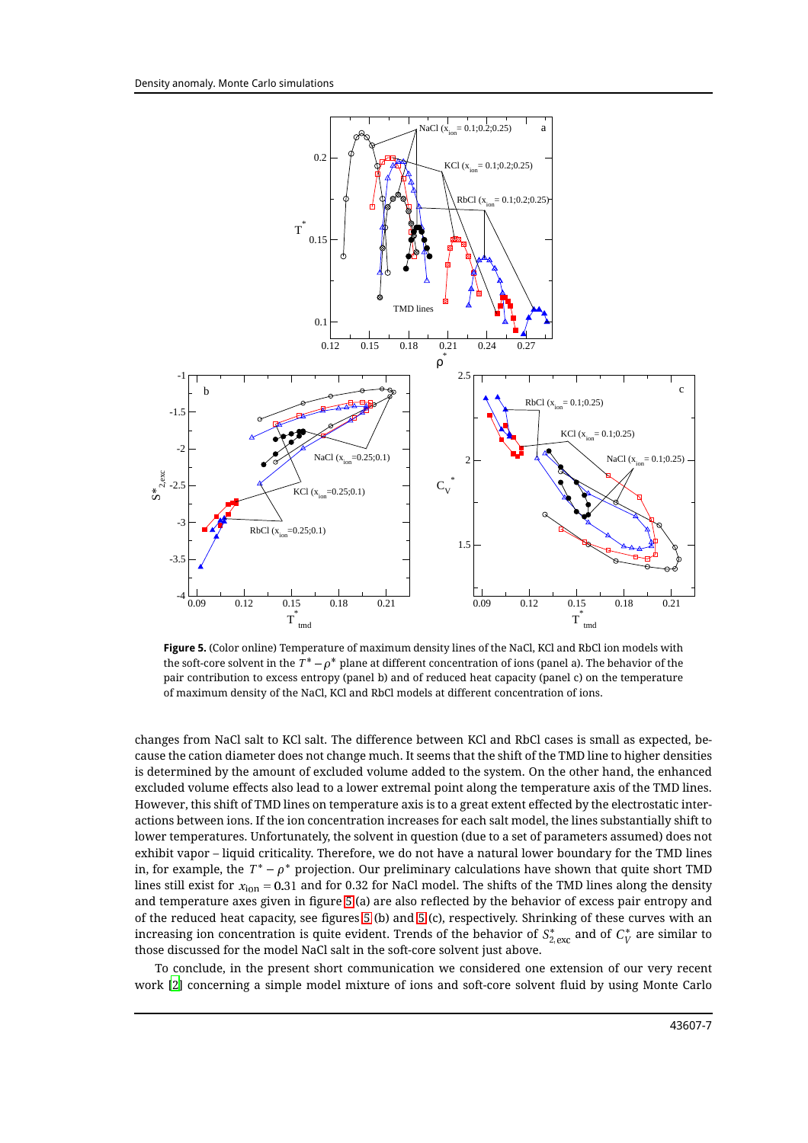

<span id="page-6-0"></span>**Figure 5.** (Color online) Temperature of maximum density lines of the NaCl, KCl and RbCl ion models with the soft-core solvent in the  $T^*-\rho^*$  plane at different concentration of ions (panel a). The behavior of the pair contribution to excess entropy (panel b) and of reduced heat capacity (panel c) on the temperature of maximum density of the NaCl, KCl and RbCl models at different concentration of ions.

changes from NaCl salt to KCl salt. The difference between KCl and RbCl cases is small as expected, because the cation diameter does not change much. It seems that the shift of the TMD line to higher densities is determined by the amount of excluded volume added to the system. On the other hand, the enhanced excluded volume effects also lead to a lower extremal point along the temperature axis of the TMD lines. However, this shift of TMD lines on temperature axis is to a great extent effected by the electrostatic interactions between ions. If the ion concentration increases for each salt model, the lines substantially shift to lower temperatures. Unfortunately, the solvent in question (due to a set of parameters assumed) does not exhibit vapor – liquid criticality. Therefore, we do not have a natural lower boundary for the TMD lines in, for example, the  $T^{*}-\rho^{*}$  projection. Our preliminary calculations have shown that quite short TMD lines still exist for  $x_{ion} = 0.31$  and for 0.32 for NaCl model. The shifts of the TMD lines along the density and temperature axes given in figure [5](#page-6-0) (a) are also reflected by the behavior of excess pair entropy and of the reduced heat capacity, see figures [5](#page-6-0) (b) and [5](#page-6-0) (c), respectively. Shrinking of these curves with an increasing ion concentration is quite evident. Trends of the behavior of  $S^*_{2,\rm exc}$  and of  $C^*_V$  are similar to those discussed for the model NaCl salt in the soft-core solvent just above.

To conclude, in the present short communication we considered one extension of our very recent work [\[2\]](#page-7-1) concerning a simple model mixture of ions and soft-core solvent fluid by using Monte Carlo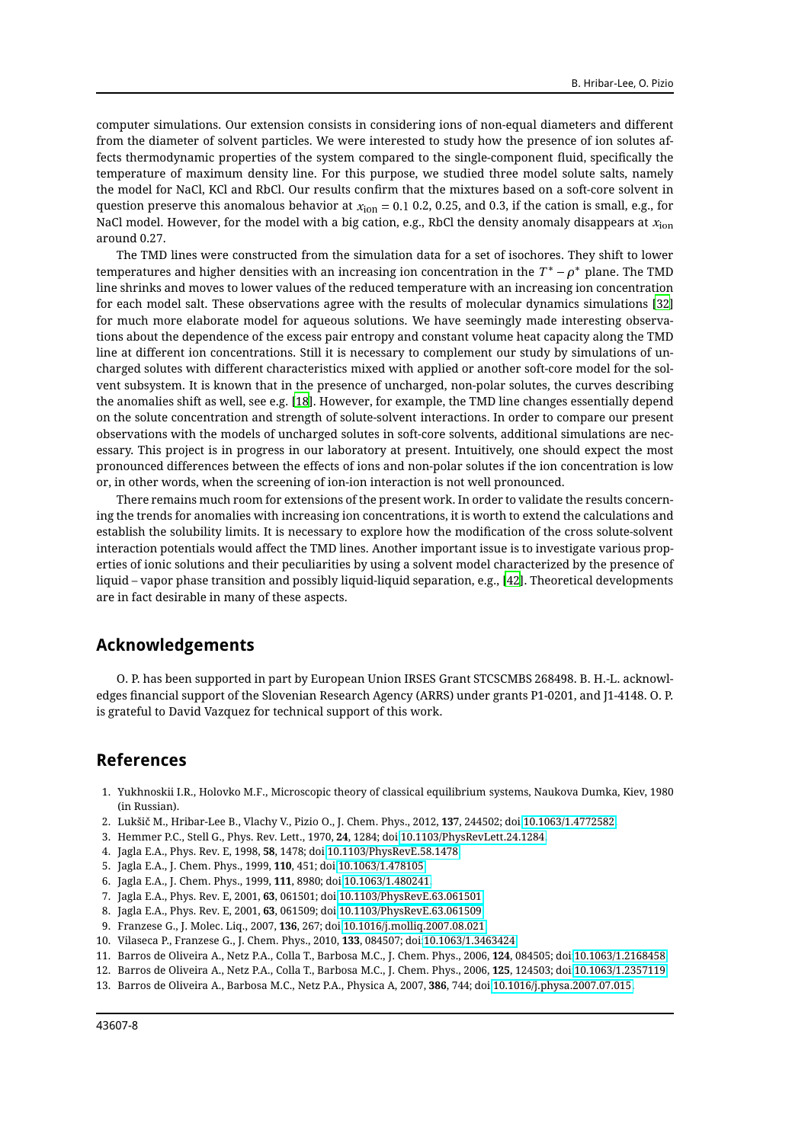computer simulations. Our extension consists in considering ions of non-equal diameters and different from the diameter of solvent particles. We were interested to study how the presence of ion solutes affects thermodynamic properties of the system compared to the single-component fluid, specifically the temperature of maximum density line. For this purpose, we studied three model solute salts, namely the model for NaCl, KCl and RbCl. Our results confirm that the mixtures based on a soft-core solvent in question preserve this anomalous behavior at  $x_{\text{ion}} = 0.1$  0.2, 0.25, and 0.3, if the cation is small, e.g., for NaCl model. However, for the model with a big cation, e.g., RbCl the density anomaly disappears at  $x_{\text{ion}}$ around 0.27.

The TMD lines were constructed from the simulation data for a set of isochores. They shift to lower temperatures and higher densities with an increasing ion concentration in the  $\,T^*\, - \rho^*\,$  plane. The TMD line shrinks and moves to lower values of the reduced temperature with an increasing ion concentration for each model salt. These observations agree with the results of molecular dynamics simulations [\[32\]](#page-8-19) for much more elaborate model for aqueous solutions. We have seemingly made interesting observations about the dependence of the excess pair entropy and constant volume heat capacity along the TMD line at different ion concentrations. Still it is necessary to complement our study by simulations of uncharged solutes with different characteristics mixed with applied or another soft-core model for the solvent subsystem. It is known that in the presence of uncharged, non-polar solutes, the curves describing the anomalies shift as well, see e.g. [\[18\]](#page-8-3). However, for example, the TMD line changes essentially depend on the solute concentration and strength of solute-solvent interactions. In order to compare our present observations with the models of uncharged solutes in soft-core solvents, additional simulations are necessary. This project is in progress in our laboratory at present. Intuitively, one should expect the most pronounced differences between the effects of ions and non-polar solutes if the ion concentration is low or, in other words, when the screening of ion-ion interaction is not well pronounced.

There remains much room for extensions of the present work. In order to validate the results concerning the trends for anomalies with increasing ion concentrations, it is worth to extend the calculations and establish the solubility limits. It is necessary to explore how the modification of the cross solute-solvent interaction potentials would affect the TMD lines. Another important issue is to investigate various properties of ionic solutions and their peculiarities by using a solvent model characterized by the presence of liquid – vapor phase transition and possibly liquid-liquid separation, e.g., [\[42\]](#page-8-20). Theoretical developments are in fact desirable in many of these aspects.

### **Acknowledgements**

O. P. has been supported in part by European Union IRSES Grant STCSCMBS 268498. B. H.-L. acknowledges financial support of the Slovenian Research Agency (ARRS) under grants P1-0201, and J1-4148. O. P. is grateful to David Vazquez for technical support of this work.

# **References**

- <span id="page-7-0"></span>1. Yukhnoskii I.R., Holovko M.F., Microscopic theory of classical equilibrium systems, Naukova Dumka, Kiev, 1980 (in Russian).
- <span id="page-7-1"></span>2. Lukšič M., Hribar-Lee B., Vlachy V., Pizio O., J. Chem. Phys., 2012, **137**, 244502; doi[:10.1063/1.4772582.](http://dx.doi.org/10.1063/1.4772582)
- <span id="page-7-2"></span>3. Hemmer P.C., Stell G., Phys. Rev. Lett., 1970, **24**, 1284; doi[:10.1103/PhysRevLett.24.1284.](http://dx.doi.org/10.1103/PhysRevLett.24.1284)
- 4. Jagla E.A., Phys. Rev. E, 1998, **58**, 1478; doi[:10.1103/PhysRevE.58.1478.](http://dx.doi.org/10.1103/PhysRevE.58.1478)
- 5. Jagla E.A., J. Chem. Phys., 1999, **110**, 451; doi[:10.1063/1.478105.](http://dx.doi.org/10.1063/1.478105)
- 6. Jagla E.A., J. Chem. Phys., 1999, **111**, 8980; doi[:10.1063/1.480241.](http://dx.doi.org/10.1063/1.480241)
- 7. Jagla E.A., Phys. Rev. E, 2001, **63**, 061501; doi[:10.1103/PhysRevE.63.061501.](http://dx.doi.org/10.1103/PhysRevE.63.061501)
- <span id="page-7-3"></span>8. Jagla E.A., Phys. Rev. E, 2001, **63**, 061509; doi[:10.1103/PhysRevE.63.061509.](http://dx.doi.org/10.1103/PhysRevE.63.061509)
- <span id="page-7-4"></span>9. Franzese G., J. Molec. Liq., 2007, **136**, 267; doi[:10.1016/j.molliq.2007.08.021.](http://dx.doi.org/10.1016/j.molliq.2007.08.021)
- <span id="page-7-5"></span>10. Vilaseca P., Franzese G., J. Chem. Phys., 2010, **133**, 084507; doi[:10.1063/1.3463424.](http://dx.doi.org/10.1063/1.3463424)
- <span id="page-7-6"></span>11. Barros de Oliveira A., Netz P.A., Colla T., Barbosa M.C., J. Chem. Phys., 2006, **124**, 084505; doi[:10.1063/1.2168458.](http://dx.doi.org/10.1063/1.2168458)
- 12. Barros de Oliveira A., Netz P.A., Colla T., Barbosa M.C., J. Chem. Phys., 2006, **125**, 124503; doi[:10.1063/1.2357119.](http://dx.doi.org/10.1063/1.2357119)
- <span id="page-7-7"></span>13. Barros de Oliveira A., Barbosa M.C., Netz P.A., Physica A, 2007, **386**, 744; doi[:10.1016/j.physa.2007.07.015.](http://dx.doi.org/10.1016/j.physa.2007.07.015)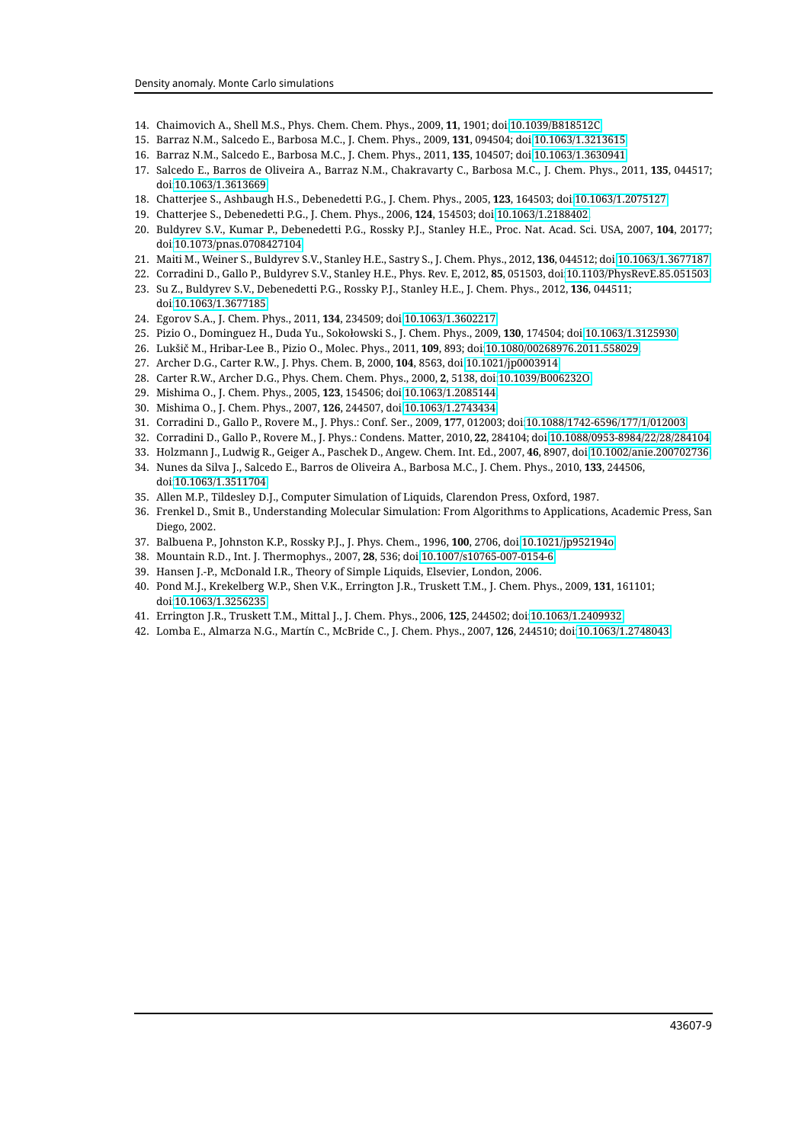- <span id="page-8-0"></span>14. Chaimovich A., Shell M.S., Phys. Chem. Chem. Phys., 2009, **11**, 1901; doi[:10.1039/B818512C.](http://dx.doi.org/10.1039/B818512C)
- <span id="page-8-1"></span>15. Barraz N.M., Salcedo E., Barbosa M.C., J. Chem. Phys., 2009, **131**, 094504; doi[:10.1063/1.3213615.](http://dx.doi.org/10.1063/1.3213615)
- 16. Barraz N.M., Salcedo E., Barbosa M.C., J. Chem. Phys., 2011, **135**, 104507; doi[:10.1063/1.3630941.](http://dx.doi.org/10.1063/1.3630941)
- <span id="page-8-2"></span>17. Salcedo E., Barros de Oliveira A., Barraz N.M., Chakravarty C., Barbosa M.C., J. Chem. Phys., 2011, **135**, 044517; doi[:10.1063/1.3613669.](http://dx.doi.org/10.1063/1.3613669)
- <span id="page-8-3"></span>18. Chatterjee S., Ashbaugh H.S., Debenedetti P.G., J. Chem. Phys., 2005, **123**, 164503; doi[:10.1063/1.2075127.](http://dx.doi.org/10.1063/1.2075127)
- 19. Chatterjee S., Debenedetti P.G., J. Chem. Phys., 2006, **124**, 154503; doi[:10.1063/1.2188402.](http://dx.doi.org/10.1063/1.2188402)
- 20. Buldyrev S.V., Kumar P., Debenedetti P.G., Rossky P.J., Stanley H.E., Proc. Nat. Acad. Sci. USA, 2007, **104**, 20177; doi[:10.1073/pnas.0708427104.](http://dx.doi.org/10.1073/pnas.0708427104)
- 21. Maiti M., Weiner S., Buldyrev S.V., Stanley H.E., Sastry S., J. Chem. Phys., 2012, **136**, 044512; doi[:10.1063/1.3677187.](http://dx.doi.org/10.1063/1.3677187)
- 22. Corradini D., Gallo P., Buldyrev S.V., Stanley H.E., Phys. Rev. E, 2012, **85**, 051503, doi[:10.1103/PhysRevE.85.051503.](http://dx.doi.org/10.1103/PhysRevE.85.051503)
- 23. Su Z., Buldyrev S.V., Debenedetti P.G., Rossky P.J., Stanley H.E., J. Chem. Phys., 2012, **136**, 044511; doi[:10.1063/1.3677185.](http://dx.doi.org/10.1063/1.3677185)
- <span id="page-8-4"></span>24. Egorov S.A., J. Chem. Phys., 2011, **134**, 234509; doi[:10.1063/1.3602217.](http://dx.doi.org/10.1063/1.3602217)
- <span id="page-8-5"></span>25. Pizio O., Dominguez H., Duda Yu., Sokołowski S., J. Chem. Phys., 2009, **130**, 174504; doi[:10.1063/1.3125930.](http://dx.doi.org/10.1063/1.3125930)
- <span id="page-8-6"></span>26. Lukšič M., Hribar-Lee B., Pizio O., Molec. Phys., 2011, **109**, 893; doi[:10.1080/00268976.2011.558029.](http://dx.doi.org/10.1080/00268976.2011.558029)
- <span id="page-8-7"></span>27. Archer D.G., Carter R.W., J. Phys. Chem. B, 2000, **104**, 8563, doi[:10.1021/jp0003914.](http://dx.doi.org/10.1021/jp0003914)
- 28. Carter R.W., Archer D.G., Phys. Chem. Chem. Phys., 2000, **2**, 5138, doi[:10.1039/B006232O.](http://dx.doi.org/10.1039/B006232O)
- 29. Mishima O., J. Chem. Phys., 2005, **123**, 154506; doi[:10.1063/1.2085144.](http://dx.doi.org/10.1063/1.2085144)
- <span id="page-8-8"></span>30. Mishima O., J. Chem. Phys., 2007, **126**, 244507, doi[:10.1063/1.2743434.](http://dx.doi.org/10.1063/1.2743434)
- <span id="page-8-9"></span>31. Corradini D., Gallo P., Rovere M., J. Phys.: Conf. Ser., 2009, **177**, 012003; doi[:10.1088/1742-6596/177/1/012003.](http://dx.doi.org/10.1088/1742-6596/177/1/012003)
- <span id="page-8-19"></span>32. Corradini D., Gallo P., Rovere M., J. Phys.: Condens. Matter, 2010, **22**, 284104; doi[:10.1088/0953-8984/22/28/284104.](http://dx.doi.org/10.1088/0953-8984/22/28/284104)
- <span id="page-8-10"></span>33. Holzmann J., Ludwig R., Geiger A., Paschek D., Angew. Chem. Int. Ed., 2007, **46**, 8907, doi[:10.1002/anie.200702736.](http://dx.doi.org/10.1002/anie.200702736)
- <span id="page-8-11"></span>34. Nunes da Silva J., Salcedo E., Barros de Oliveira A., Barbosa M.C., J. Chem. Phys., 2010, **133**, 244506, doi[:10.1063/1.3511704.](http://dx.doi.org/10.1063/1.3511704)
- <span id="page-8-12"></span>35. Allen M.P., Tildesley D.J., Computer Simulation of Liquids, Clarendon Press, Oxford, 1987.
- <span id="page-8-13"></span>36. Frenkel D., Smit B., Understanding Molecular Simulation: From Algorithms to Applications, Academic Press, San Diego, 2002.
- <span id="page-8-14"></span>37. Balbuena P., Johnston K.P., Rossky P.J., J. Phys. Chem., 1996, **100**, 2706, doi[:10.1021/jp952194o.](http://dx.doi.org/10.1021/jp952194o)
- <span id="page-8-15"></span>38. Mountain R.D., Int. J. Thermophys., 2007, **28**, 536; doi[:10.1007/s10765-007-0154-6.](http://dx.doi.org/10.1007/s10765-007-0154-6)
- <span id="page-8-16"></span>39. Hansen J.-P., McDonald I.R., Theory of Simple Liquids, Elsevier, London, 2006.
- <span id="page-8-17"></span>40. Pond M.J., Krekelberg W.P., Shen V.K., Errington J.R., Truskett T.M., J. Chem. Phys., 2009, **131**, 161101; doi[:10.1063/1.3256235.](http://dx.doi.org/10.1063/1.3256235)
- <span id="page-8-18"></span>41. Errington J.R., Truskett T.M., Mittal J., J. Chem. Phys., 2006, **125**, 244502; doi[:10.1063/1.2409932.](http://dx.doi.org/10.1063/1.2409932)
- <span id="page-8-20"></span>42. Lomba E., Almarza N.G., Martín C., McBride C., J. Chem. Phys., 2007, **126**, 244510; doi[:10.1063/1.2748043.](http://dx.doi.org/10.1063/1.2748043)